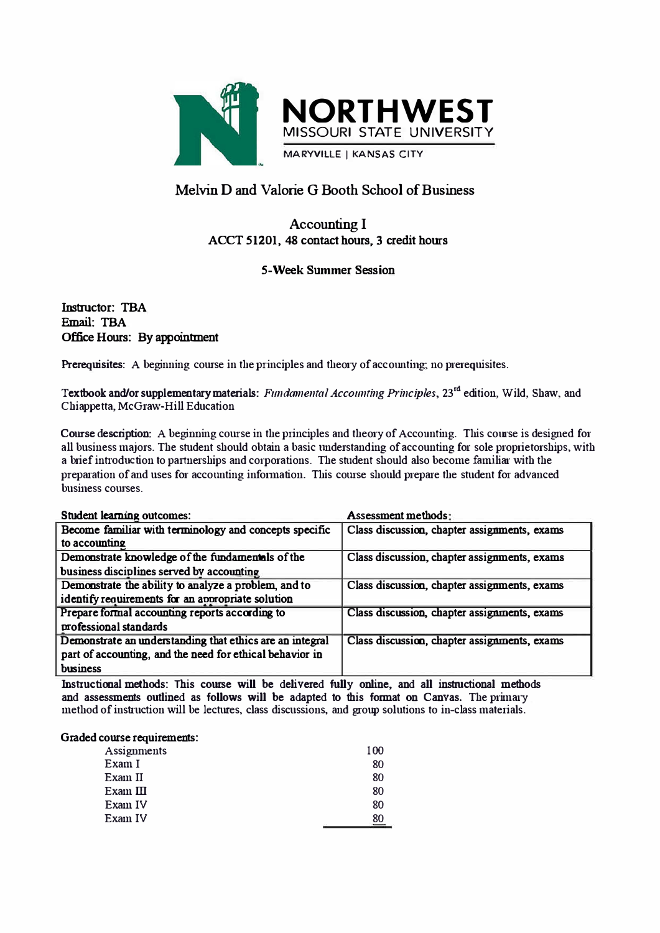

# **Melvin D and Valorie G Booth School of Business**

## **Accounting I ACCT 51201, 48 contact hours, 3 credit homs**

### **5-Week Summer Session**

**Email: TBA Instructor: TBA Office Hours: By appointment** 

Prerequisites: A beginning course in the principles and theory of accounting; no prerequisites.

**Textbook and/or supplementary materials:** Fundamental Accounting Principles, 23<sup>rd</sup> edition, Wild, Shaw, and **Chiappetta, McGraw-Hill Education** 

**Course description:** A beginning course in the principles and theory of Accounting. This course is designed for **all business majors. The student should obtain a basic understanding of accounting for sole proprietorships, with**  a brief introduction to partnerships and corporations. The student should also become familiar with the preparation of and uses for accounting information. This course should prepare the student for advanced **business courses** 

| <b>Student learning outcomes:</b>                        | <b>Assessment methods:</b>                   |
|----------------------------------------------------------|----------------------------------------------|
| Become familiar with terminology and concepts specific   | Class discussion, chapter assignments, exams |
| to accounting                                            |                                              |
| Demonstrate knowledge of the fundamentals of the         | Class discussion, chapter assignments, exams |
| business disciplines served by accounting                |                                              |
| Demonstrate the ability to analyze a problem, and to     | Class discussion, chapter assignments, exams |
| identify requirements for an appropriate solution        |                                              |
| Prepare formal accounting reports according to           | Class discussion, chapter assignments, exams |
| professional standards                                   |                                              |
| Demonstrate an understanding that ethics are an integral | Class discussion, chapter assignments, exams |
| part of accounting, and the need for ethical behavior in |                                              |
| business                                                 |                                              |

**lnstructimal methods: This course will be delivered fully online, and all instructional methods and assessments outlined as follows will be adapted to this format on Canvas. The primary method of instruction will be lectures, class discussions, and group solutions to in-class materials.** 

#### Graded course requirements:

| Assignments                                                             | 100 |
|-------------------------------------------------------------------------|-----|
| Exam I                                                                  | 80  |
| Exam II                                                                 | 80  |
| $\mathop{\rm Exam}\nolimits\, \mathop{\rm I\mskip-4mu l\mskip-4.5mu l}$ | 80  |
| Exam IV                                                                 | 80  |
| Exam IV                                                                 | 80  |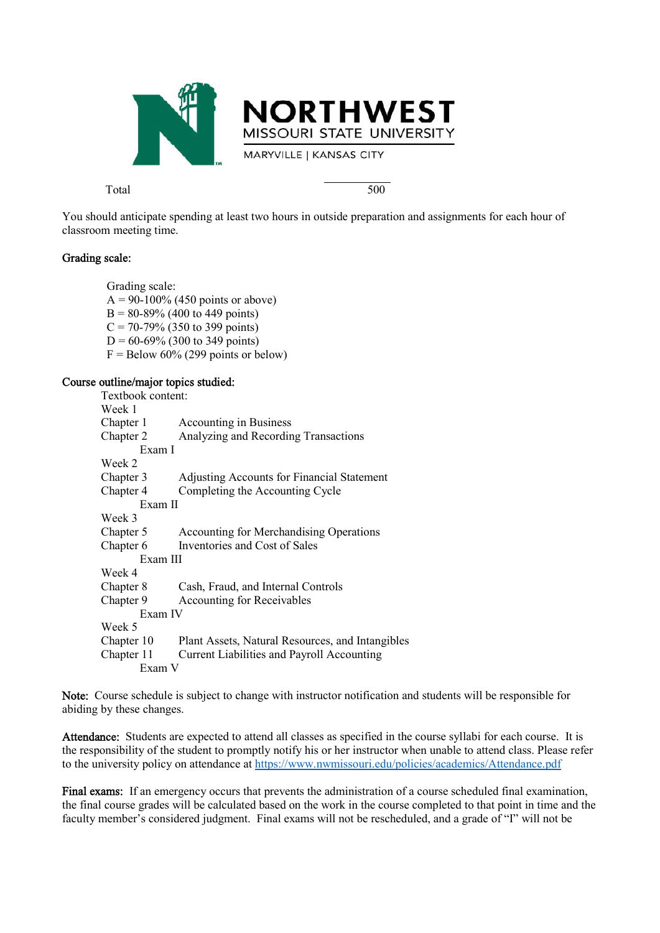

Total 500

You should anticipate spending at least two hours in outside preparation and assignments for each hour of classroom meeting time.

#### Grading scale:

Grading scale:  $A = 90-100\%$  (450 points or above)  $B = 80-89\%$  (400 to 449 points)  $C = 70-79\%$  (350 to 399 points)  $D = 60-69\%$  (300 to 349 points)  $F =$  Below 60% (299 points or below)

#### Course outline/major topics studied:

| Textbook content: |                                                   |
|-------------------|---------------------------------------------------|
| Week 1            |                                                   |
| Chapter 1         | <b>Accounting in Business</b>                     |
| Chapter 2         | Analyzing and Recording Transactions              |
| Exam I            |                                                   |
| Week 2            |                                                   |
| Chapter 3         | <b>Adjusting Accounts for Financial Statement</b> |
| Chapter 4         | Completing the Accounting Cycle                   |
| Exam II           |                                                   |
| Week 3            |                                                   |
| Chapter 5         | Accounting for Merchandising Operations           |
| Chapter 6         | Inventories and Cost of Sales                     |
| Exam III          |                                                   |
| Week 4            |                                                   |
| Chapter 8         | Cash, Fraud, and Internal Controls                |
| Chapter 9         | Accounting for Receivables                        |
| Exam IV           |                                                   |
| Week 5            |                                                   |
| Chapter 10        | Plant Assets, Natural Resources, and Intangibles  |
| Chapter 11        | Current Liabilities and Payroll Accounting        |
| Exam V            |                                                   |

Note: Course schedule is subject to change with instructor notification and students will be responsible for abiding by these changes.

Attendance: Students are expected to attend all classes as specified in the course syllabi for each course. It is the responsibility of the student to promptly notify his or her instructor when unable to attend class. Please refer to the university policy on attendance at https://www.nwmissouri.edu/policies/academics/Attendance.pdf

Final exams: If an emergency occurs that prevents the administration of a course scheduled final examination, the final course grades will be calculated based on the work in the course completed to that point in time and the faculty member's considered judgment. Final exams will not be rescheduled, and a grade of "I" will not be